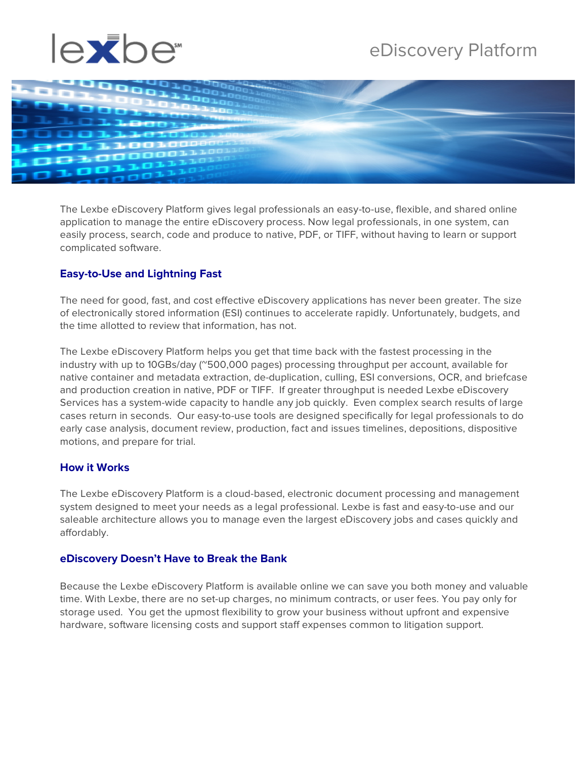# eDiscovery Platform





The Lexbe eDiscovery Platform gives legal professionals an easy-to-use, flexible, and shared online application to manage the entire eDiscovery process. Now legal professionals, in one system, can easily process, search, code and produce to native, PDF, or TIFF, without having to learn or support complicated software.

## **Easy-to-Use and Lightning Fast**

The need for good, fast, and cost effective eDiscovery applications has never been greater. The size of electronically stored information (ESI) continues to accelerate rapidly. Unfortunately, budgets, and the time allotted to review that information, has not.

The Lexbe eDiscovery Platform helps you get that time back with the fastest processing in the industry with up to 10GBs/day (~500,000 pages) processing throughput per account, available for native container and metadata extraction, de-duplication, culling, ESI conversions, OCR, and briefcase and production creation in native, PDF or TIFF. If greater throughput is needed Lexbe eDiscovery Services has a system-wide capacity to handle any job quickly. Even complex search results of large cases return in seconds. Our easy-to-use tools are designed specifically for legal professionals to do early case analysis, document review, production, fact and issues timelines, depositions, dispositive motions, and prepare for trial.

#### **How it Works**

The Lexbe eDiscovery Platform is a cloud-based, electronic document processing and management system designed to meet your needs as a legal professional. Lexbe is fast and easy-to-use and our saleable architecture allows you to manage even the largest eDiscovery jobs and cases quickly and affordably.

#### **eDiscovery Doesn't Have to Break the Bank**

Because the Lexbe eDiscovery Platform is available online we can save you both money and valuable time. With Lexbe, there are no set-up charges, no minimum contracts, or user fees. You pay only for storage used. You get the upmost flexibility to grow your business without upfront and expensive hardware, software licensing costs and support staff expenses common to litigation support.